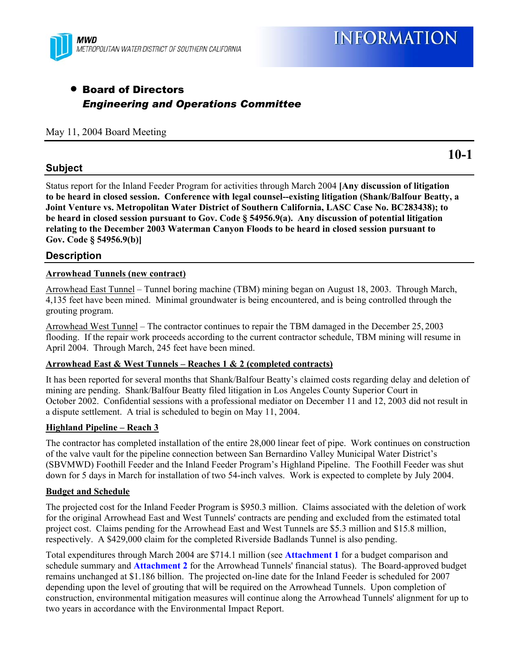

# • Board of Directors *Engineering and Operations Committee*

#### May 11, 2004 Board Meeting

# **Subject**

Status report for the Inland Feeder Program for activities through March 2004 **[Any discussion of litigation to be heard in closed session. Conference with legal counsel--existing litigation (Shank/Balfour Beatty, a Joint Venture vs. Metropolitan Water District of Southern California, LASC Case No. BC283438); to be heard in closed session pursuant to Gov. Code § 54956.9(a). Any discussion of potential litigation relating to the December 2003 Waterman Canyon Floods to be heard in closed session pursuant to Gov. Code § 54956.9(b)]**

# **Description**

#### **Arrowhead Tunnels (new contract)**

Arrowhead East Tunnel – Tunnel boring machine (TBM) mining began on August 18, 2003. Through March, 4,135 feet have been mined. Minimal groundwater is being encountered, and is being controlled through the grouting program.

Arrowhead West Tunnel – The contractor continues to repair the TBM damaged in the December 25, 2003 flooding. If the repair work proceeds according to the current contractor schedule, TBM mining will resume in April 2004. Through March, 245 feet have been mined.

#### **Arrowhead East & West Tunnels – Reaches 1 & 2 (completed contracts)**

It has been reported for several months that Shank/Balfour Beatty's claimed costs regarding delay and deletion of mining are pending. Shank/Balfour Beatty filed litigation in Los Angeles County Superior Court in October 2002. Confidential sessions with a professional mediator on December 11 and 12, 2003 did not result in a dispute settlement. A trial is scheduled to begin on May 11, 2004.

#### **Highland Pipeline – Reach 3**

The contractor has completed installation of the entire 28,000 linear feet of pipe. Work continues on construction of the valve vault for the pipeline connection between San Bernardino Valley Municipal Water District's (SBVMWD) Foothill Feeder and the Inland Feeder Program's Highland Pipeline. The Foothill Feeder was shut down for 5 days in March for installation of two 54-inch valves. Work is expected to complete by July 2004.

#### **Budget and Schedule**

The projected cost for the Inland Feeder Program is \$950.3 million. Claims associated with the deletion of work for the original Arrowhead East and West Tunnels' contracts are pending and excluded from the estimated total project cost. Claims pending for the Arrowhead East and West Tunnels are \$5.3 million and \$15.8 million, respectively. A \$429,000 claim for the completed Riverside Badlands Tunnel is also pending.

Total expenditures through March 2004 are \$714.1 million (see **Attachment 1** for a budget comparison and schedule summary and **Attachment 2** for the Arrowhead Tunnels' financial status). The Board-approved budget remains unchanged at \$1.186 billion. The projected on-line date for the Inland Feeder is scheduled for 2007 depending upon the level of grouting that will be required on the Arrowhead Tunnels. Upon completion of construction, environmental mitigation measures will continue along the Arrowhead Tunnels' alignment for up to two years in accordance with the Environmental Impact Report.

**10-1**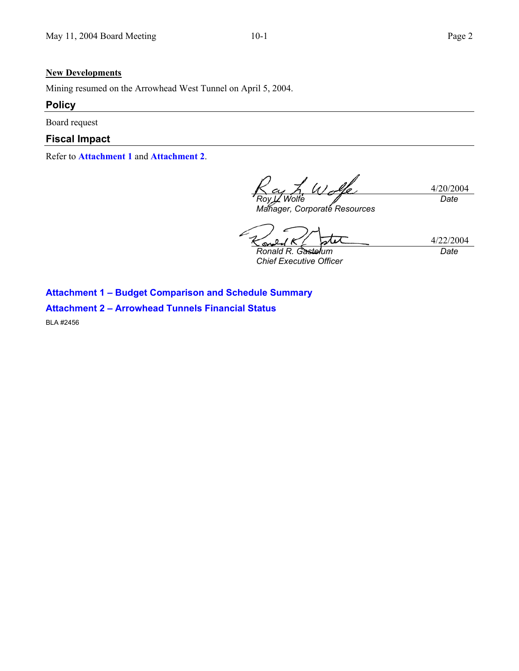#### **New Developments**

Mining resumed on the Arrowhead West Tunnel on April 5, 2004.

# **Policy**

Board request

# **Fiscal Impact**

Refer to **Attachment 1** and **Attachment 2**.

L Wolfe 4/20/2004 *Roy L. Wolfe Date* 

*Manager, Corporate Resources* 

4/22/2004 S *Ronald R. Gastelum Date* 

*Chief Executive Officer* 

**Attachment 1 – Budget Comparison and Schedule Summary** 

**Attachment 2 – Arrowhead Tunnels Financial Status** 

BLA #2456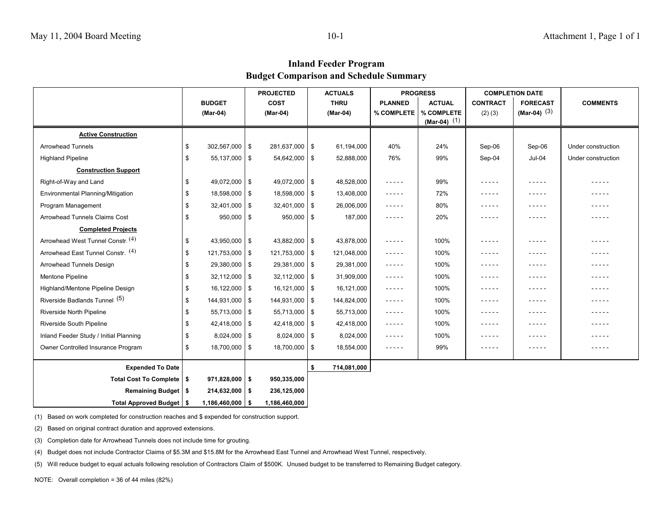# **Inland Feeder Program Budget Comparison and Schedule Summary**

|                                        |    |                      | <b>PROJECTED</b> |                   | <b>ACTUALS</b> |             | <b>PROGRESS</b>                                                                                                                                                                                            |                | <b>COMPLETION DATE</b>                                                                                                                                                                                                                                                                                                               |                 |                    |
|----------------------------------------|----|----------------------|------------------|-------------------|----------------|-------------|------------------------------------------------------------------------------------------------------------------------------------------------------------------------------------------------------------|----------------|--------------------------------------------------------------------------------------------------------------------------------------------------------------------------------------------------------------------------------------------------------------------------------------------------------------------------------------|-----------------|--------------------|
|                                        |    | <b>BUDGET</b>        |                  | COST              |                | <b>THRU</b> | <b>PLANNED</b>                                                                                                                                                                                             | <b>ACTUAL</b>  | <b>CONTRACT</b>                                                                                                                                                                                                                                                                                                                      | <b>FORECAST</b> | <b>COMMENTS</b>    |
|                                        |    | (Mar-04)             |                  | (Mar-04)          |                | (Mar-04)    | % COMPLETE                                                                                                                                                                                                 | % COMPLETE     | $(2)$ $(3)$                                                                                                                                                                                                                                                                                                                          | (Mar-04) $(3)$  |                    |
|                                        |    |                      |                  |                   |                |             |                                                                                                                                                                                                            | $(Mar-04)$ (1) |                                                                                                                                                                                                                                                                                                                                      |                 |                    |
| <b>Active Construction</b>             |    |                      |                  |                   |                |             |                                                                                                                                                                                                            |                |                                                                                                                                                                                                                                                                                                                                      |                 |                    |
| Arrowhead Tunnels                      | \$ | $302,567,000$ \$     |                  | 281,637,000 \$    |                | 61,194,000  | 40%                                                                                                                                                                                                        | 24%            | Sep-06                                                                                                                                                                                                                                                                                                                               | Sep-06          | Under construction |
| <b>Highland Pipeline</b>               | \$ | $55,137,000$ \ \$    |                  | $54,642,000$ \$   |                | 52,888,000  | 76%                                                                                                                                                                                                        | 99%            | Sep-04                                                                                                                                                                                                                                                                                                                               | Jul-04          | Under construction |
| <b>Construction Support</b>            |    |                      |                  |                   |                |             |                                                                                                                                                                                                            |                |                                                                                                                                                                                                                                                                                                                                      |                 |                    |
| Right-of-Way and Land                  | \$ | 49,072,000 \$        |                  | 49,072,000 \$     |                | 48,528,000  | -----                                                                                                                                                                                                      | 99%            | $- - - - -$                                                                                                                                                                                                                                                                                                                          | -----           | - - - - -          |
| Environmental Planning/Mitigation      | \$ | 18,598,000 \$        |                  | 18,598,000 \$     |                | 13,408,000  | -----                                                                                                                                                                                                      | 72%            | -----                                                                                                                                                                                                                                                                                                                                | -----           | - - - - -          |
| Program Management                     | \$ | $32,401,000$ \ \$    |                  | $32,401,000$ \ \$ |                | 26,006,000  | -----                                                                                                                                                                                                      | 80%            | -----                                                                                                                                                                                                                                                                                                                                | -----           | - - - - -          |
| Arrowhead Tunnels Claims Cost          | \$ | $950,000$ \$         |                  | $950,000$ \$      |                | 187,000     | -----                                                                                                                                                                                                      | 20%            | -----                                                                                                                                                                                                                                                                                                                                | -----           | - - - - -          |
| <b>Completed Projects</b>              |    |                      |                  |                   |                |             |                                                                                                                                                                                                            |                |                                                                                                                                                                                                                                                                                                                                      |                 |                    |
| Arrowhead West Tunnel Constr. (4)      | \$ | $43,950,000$ \ \$    |                  | 43,882,000 \$     |                | 43,878,000  | -----                                                                                                                                                                                                      | 100%           | $- - - - -$                                                                                                                                                                                                                                                                                                                          | -----           | .                  |
| Arrowhead East Tunnel Constr. (4)      | \$ | $121,753,000$ \$     |                  | 121,753,000 \$    |                | 121,048,000 | $\frac{1}{2} \left( \frac{1}{2} \right) \left( \frac{1}{2} \right) \left( \frac{1}{2} \right) \left( \frac{1}{2} \right) \left( \frac{1}{2} \right) \left( \frac{1}{2} \right)$                            | 100%           | $- - - - -$                                                                                                                                                                                                                                                                                                                          | .               | -----              |
| Arrowhead Tunnels Design               | \$ | $29,380,000$ \ \$    |                  | 29,381,000 \$     |                | 29,381,000  | $\frac{1}{2} \left( \frac{1}{2} \right) \left( \frac{1}{2} \right) \left( \frac{1}{2} \right) \left( \frac{1}{2} \right) \left( \frac{1}{2} \right) \left( \frac{1}{2} \right) \left( \frac{1}{2} \right)$ | 100%           | $\frac{1}{2} \left( \begin{array}{ccc} 1 & 0 & 0 & 0 \\ 0 & 0 & 0 & 0 \\ 0 & 0 & 0 & 0 \\ 0 & 0 & 0 & 0 \\ 0 & 0 & 0 & 0 \\ 0 & 0 & 0 & 0 \\ 0 & 0 & 0 & 0 \\ 0 & 0 & 0 & 0 \\ 0 & 0 & 0 & 0 \\ 0 & 0 & 0 & 0 \\ 0 & 0 & 0 & 0 & 0 \\ 0 & 0 & 0 & 0 & 0 \\ 0 & 0 & 0 & 0 & 0 \\ 0 & 0 & 0 & 0 & 0 \\ 0 & 0 & 0 & 0 & 0 \\ 0 & 0 & 0$ | -----           | - - - - -          |
| Mentone Pipeline                       | \$ | $32,112,000$ \ \$    |                  | $32,112,000$ \ \$ |                | 31,909,000  | -----                                                                                                                                                                                                      | 100%           | $\frac{1}{2} \left( \frac{1}{2} \right) \left( \frac{1}{2} \right) \left( \frac{1}{2} \right) \left( \frac{1}{2} \right) \left( \frac{1}{2} \right) \left( \frac{1}{2} \right)$                                                                                                                                                      | -----           | -----              |
| Highland/Mentone Pipeline Design       | \$ | $16,122,000$ \ \$    |                  | 16,121,000 \$     |                | 16,121,000  | -----                                                                                                                                                                                                      | 100%           | -----                                                                                                                                                                                                                                                                                                                                | -----           | - - - - -          |
| Riverside Badlands Tunnel (5)          | \$ | 144,931,000 \$       |                  | 144,931,000 \$    |                | 144,824,000 | -----                                                                                                                                                                                                      | 100%           | $- - - - -$                                                                                                                                                                                                                                                                                                                          | -----           | .                  |
| Riverside North Pipeline               | \$ | $55,713,000$ \ \$    |                  | $55,713,000$ \ \$ |                | 55,713,000  | -----                                                                                                                                                                                                      | 100%           | $- - - - -$                                                                                                                                                                                                                                                                                                                          | - - - - -       | .                  |
| Riverside South Pipeline               | \$ | 42,418,000 \$        |                  | 42,418,000 \$     |                | 42,418,000  | -----                                                                                                                                                                                                      | 100%           | -----                                                                                                                                                                                                                                                                                                                                | .               |                    |
| Inland Feeder Study / Initial Planning | \$ | $8,024,000$ \ \$     |                  | $8,024,000$ \$    |                | 8,024,000   | -----                                                                                                                                                                                                      | 100%           | -----                                                                                                                                                                                                                                                                                                                                | -----           | .                  |
| Owner Controlled Insurance Program     | \$ | 18,700,000   \$      |                  | 18,700,000 \$     |                | 18,554,000  | -----                                                                                                                                                                                                      | 99%            | $- - - - -$                                                                                                                                                                                                                                                                                                                          | -----           | -----              |
|                                        |    |                      |                  |                   |                |             |                                                                                                                                                                                                            |                |                                                                                                                                                                                                                                                                                                                                      |                 |                    |
| <b>Expended To Date</b>                |    |                      |                  |                   | \$             | 714,081,000 |                                                                                                                                                                                                            |                |                                                                                                                                                                                                                                                                                                                                      |                 |                    |
| Total Cost To Complete   \$            |    | $971,828,000$ \$     |                  | 950,335,000       |                |             |                                                                                                                                                                                                            |                |                                                                                                                                                                                                                                                                                                                                      |                 |                    |
| Remaining Budget   \$                  |    | $214,632,000$ \$     |                  | 236,125,000       |                |             |                                                                                                                                                                                                            |                |                                                                                                                                                                                                                                                                                                                                      |                 |                    |
| Total Approved Budget   \$             |    | $1,186,460,000$ \ \$ |                  | 1,186,460,000     |                |             |                                                                                                                                                                                                            |                |                                                                                                                                                                                                                                                                                                                                      |                 |                    |

(1) Based on work completed for construction reaches and \$ expended for construction support.

(2) Based on original contract duration and approved extensions.

(3) Completion date for Arrowhead Tunnels does not include time for grouting.

(4) Budget does not include Contractor Claims of \$5.3M and \$15.8M for the Arrowhead East Tunnel and Arrowhead West Tunnel, respectively.

(5) Will reduce budget to equal actuals following resolution of Contractors Claim of \$500K. Unused budget to be transferred to Remaining Budget category.

NOTE: Overall completion = 36 of 44 miles (82%)